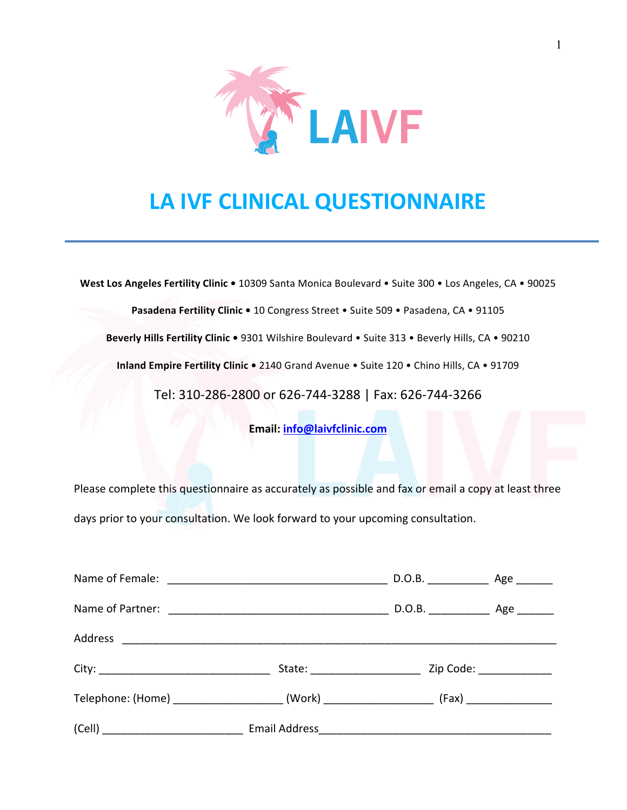

# **LA IVF CLINICAL QUESTIONNAIRE**

West Los Angeles Fertility Clinic . 10309 Santa Monica Boulevard . Suite 300 . Los Angeles, CA . 90025

Pasadena Fertility Clinic . 10 Congress Street . Suite 509 . Pasadena, CA . 91105

Beverly Hills Fertility Clinic . 9301 Wilshire Boulevard . Suite 313 . Beverly Hills, CA . 90210

**Inland Empire Fertility Clinic .** 2140 Grand Avenue . Suite 120 . Chino Hills, CA . 91709

Tel: 310-286-2800 or 626-744-3288 | Fax: 626-744-3266

**Email: info@laivfclinic.com**

Please complete this questionnaire as accurately as possible and fax or email a copy at least three days prior to your consultation. We look forward to your upcoming consultation.

|                                                                                                | State: Zip Code: Zip Code: |  |
|------------------------------------------------------------------------------------------------|----------------------------|--|
| Telephone: (Home) _______________________(Work) ________________________(Fax) ________________ |                            |  |
|                                                                                                |                            |  |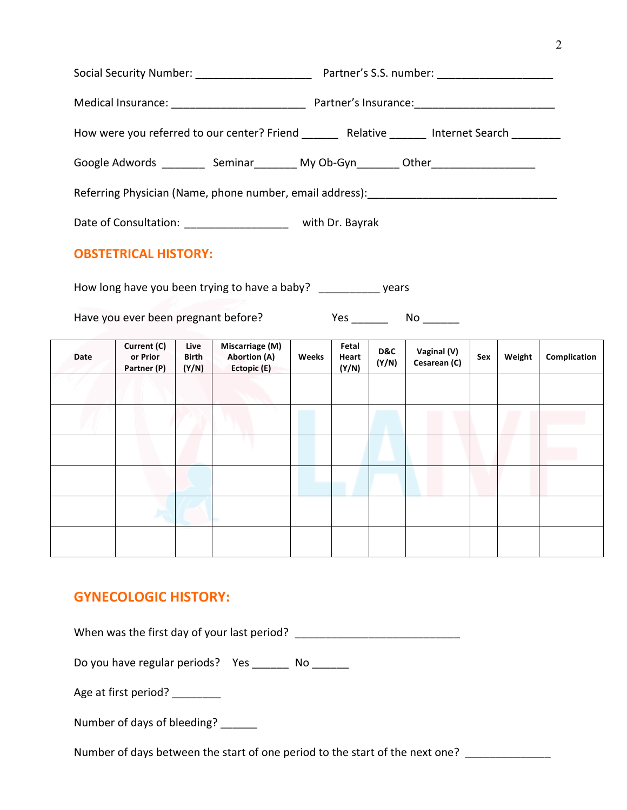|                                                               | How were you referred to our center? Friend __________ Relative ________ Internet Search _________  |
|---------------------------------------------------------------|-----------------------------------------------------------------------------------------------------|
|                                                               | Google Adwords ____________ Seminar___________ My Ob-Gyn_________ Other____________________________ |
|                                                               |                                                                                                     |
| Date of Consultation: _______________________ with Dr. Bayrak |                                                                                                     |
| <b>OBSTETRICAL HISTORY:</b>                                   |                                                                                                     |

How long have you been trying to have a baby? \_\_\_\_\_\_\_\_\_\_ years

Have you ever been pregnant before? Yes \_\_\_\_\_\_ No \_\_\_\_\_\_

| Date | Current (C)<br>or Prior<br>Partner (P) | Live<br><b>Birth</b><br>(Y/N) | Miscarriage (M)<br><b>Abortion (A)</b><br>Ectopic (E) | Weeks | Fetal<br>Heart<br>(Y/N) | D&C<br>(Y/N) | Vaginal (V)<br>Cesarean (C) | Sex | Weight | Complication |
|------|----------------------------------------|-------------------------------|-------------------------------------------------------|-------|-------------------------|--------------|-----------------------------|-----|--------|--------------|
|      |                                        |                               |                                                       |       |                         |              |                             |     |        |              |
|      |                                        |                               |                                                       |       |                         |              |                             |     |        |              |
|      |                                        |                               |                                                       |       |                         |              |                             |     |        |              |
|      |                                        |                               |                                                       |       |                         |              |                             |     |        |              |
|      |                                        |                               |                                                       |       |                         |              |                             |     |        |              |
|      |                                        |                               |                                                       |       |                         |              |                             |     |        |              |

#### **GYNECOLOGIC HISTORY:**

When was the first day of your last period? \_\_\_\_\_\_\_\_\_\_\_\_\_\_\_\_\_\_\_\_\_\_\_\_\_\_\_

Do you have regular periods? Yes \_\_\_\_\_\_ No \_\_\_\_\_\_

Age at first period? \_\_\_\_\_\_\_\_\_

Number of days of bleeding? \_\_\_\_\_\_

Number of days between the start of one period to the start of the next one? \_\_\_\_\_\_\_\_\_\_\_\_\_\_\_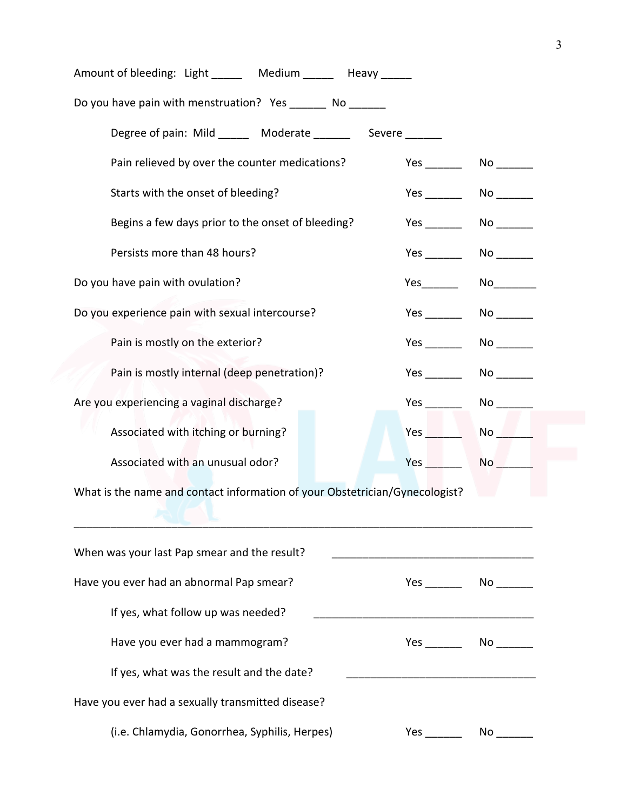| Amount of bleeding: Light Medium Heavy                                      |                   |                                                                                                                                                                                                                                |
|-----------------------------------------------------------------------------|-------------------|--------------------------------------------------------------------------------------------------------------------------------------------------------------------------------------------------------------------------------|
| Do you have pain with menstruation? Yes ________ No _______                 |                   |                                                                                                                                                                                                                                |
| Degree of pain: Mild ______ Moderate _______ Severe ______                  |                   |                                                                                                                                                                                                                                |
| Pain relieved by over the counter medications?                              |                   |                                                                                                                                                                                                                                |
| Starts with the onset of bleeding?                                          | <b>Yes</b>        |                                                                                                                                                                                                                                |
| Begins a few days prior to the onset of bleeding?                           |                   |                                                                                                                                                                                                                                |
| Persists more than 48 hours?                                                |                   |                                                                                                                                                                                                                                |
| Do you have pain with ovulation?                                            | Yes $\frac{1}{2}$ |                                                                                                                                                                                                                                |
| Do you experience pain with sexual intercourse?                             |                   | $No \quad \qquad$                                                                                                                                                                                                              |
| Pain is mostly on the exterior?                                             |                   |                                                                                                                                                                                                                                |
| Pain is mostly internal (deep penetration)?                                 |                   |                                                                                                                                                                                                                                |
| Are you experiencing a vaginal discharge?                                   |                   | No and the set of the set of the set of the set of the set of the set of the set of the set of the set of the set of the set of the set of the set of the set of the set of the set of the set of the set of the set of the se |
| Associated with itching or burning?                                         | Yes               | No la provi                                                                                                                                                                                                                    |
| Associated with an unusual odor?                                            | Yes               | No and the set of the set of the set of the set of the set of the set of the set of the set of the set of the set of the set of the set of the set of the set of the set of the set of the set of the set of the set of the se |
| What is the name and contact information of your Obstetrician/Gynecologist? |                   |                                                                                                                                                                                                                                |
| When was your last Pap smear and the result?                                |                   |                                                                                                                                                                                                                                |
| Have you ever had an abnormal Pap smear?                                    | Yes No            |                                                                                                                                                                                                                                |
| If yes, what follow up was needed?                                          |                   |                                                                                                                                                                                                                                |
| Have you ever had a mammogram?                                              |                   |                                                                                                                                                                                                                                |
| If yes, what was the result and the date?                                   |                   |                                                                                                                                                                                                                                |
| Have you ever had a sexually transmitted disease?                           |                   |                                                                                                                                                                                                                                |
| (i.e. Chlamydia, Gonorrhea, Syphilis, Herpes)                               |                   |                                                                                                                                                                                                                                |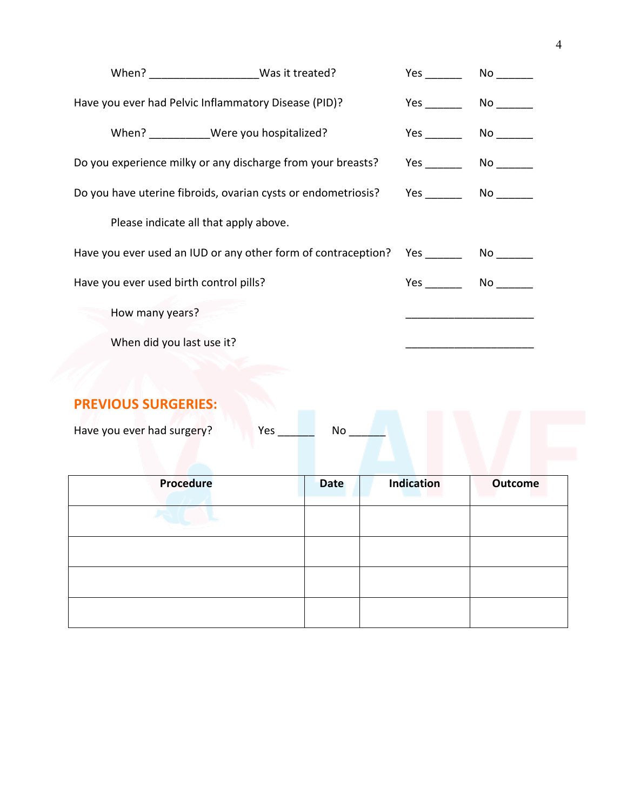|                                         |                                                                    | Yes $\qquad \qquad$ | No control to the North State of the North State of the North State of the North State of the North State of the North State of the North State of the North State of the North State of the North State of the North State of |
|-----------------------------------------|--------------------------------------------------------------------|---------------------|--------------------------------------------------------------------------------------------------------------------------------------------------------------------------------------------------------------------------------|
|                                         | Have you ever had Pelvic Inflammatory Disease (PID)?               | <b>Yes</b>          |                                                                                                                                                                                                                                |
|                                         | When? __________Were you hospitalized?                             | <b>Yes</b>          |                                                                                                                                                                                                                                |
|                                         | Do you experience milky or any discharge from your breasts?        |                     | No and the set of the set of the set of the set of the set of the set of the set of the set of the set of the                                                                                                                  |
|                                         | Do you have uterine fibroids, ovarian cysts or endometriosis?      |                     | $No \ \_$                                                                                                                                                                                                                      |
|                                         | Please indicate all that apply above.                              |                     |                                                                                                                                                                                                                                |
|                                         | Have you ever used an IUD or any other form of contraception?  Yes |                     | $No \t —$                                                                                                                                                                                                                      |
| Have you ever used birth control pills? |                                                                    |                     | No service and the series of the series of the series of the series of the series of the series of the series                                                                                                                  |
| How many years?                         |                                                                    |                     |                                                                                                                                                                                                                                |
| When did you last use it?               |                                                                    |                     |                                                                                                                                                                                                                                |

## **PREVIOUS SURGERIES:**

| Have you ever had surgery? |
|----------------------------|
|----------------------------|

| <b>Procedure</b> | <b>Date</b> | <b>Indication</b> | <b>Outcome</b> |
|------------------|-------------|-------------------|----------------|
|                  |             |                   |                |
|                  |             |                   |                |
|                  |             |                   |                |
|                  |             |                   |                |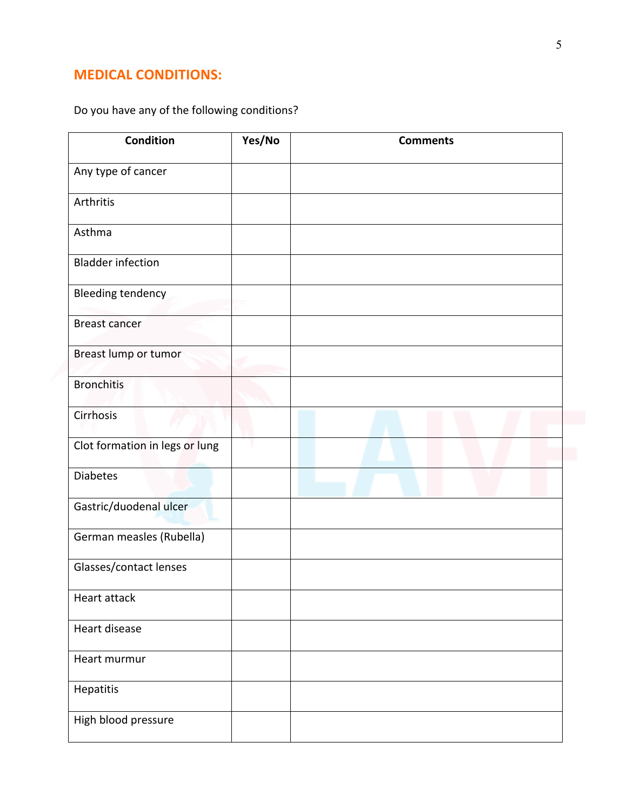#### **MEDICAL CONDITIONS:**

Do you have any of the following conditions?

| <b>Condition</b>               | Yes/No | <b>Comments</b> |
|--------------------------------|--------|-----------------|
| Any type of cancer             |        |                 |
| Arthritis                      |        |                 |
| Asthma                         |        |                 |
| <b>Bladder infection</b>       |        |                 |
| Bleeding tendency              |        |                 |
| <b>Breast cancer</b>           |        |                 |
| Breast lump or tumor           |        |                 |
| <b>Bronchitis</b>              |        |                 |
| Cirrhosis                      |        |                 |
| Clot formation in legs or lung |        |                 |
| <b>Diabetes</b>                |        |                 |
| Gastric/duodenal ulcer         |        |                 |
| German measles (Rubella)       |        |                 |
| Glasses/contact lenses         |        |                 |
| Heart attack                   |        |                 |
| Heart disease                  |        |                 |
| Heart murmur                   |        |                 |
| Hepatitis                      |        |                 |
| High blood pressure            |        |                 |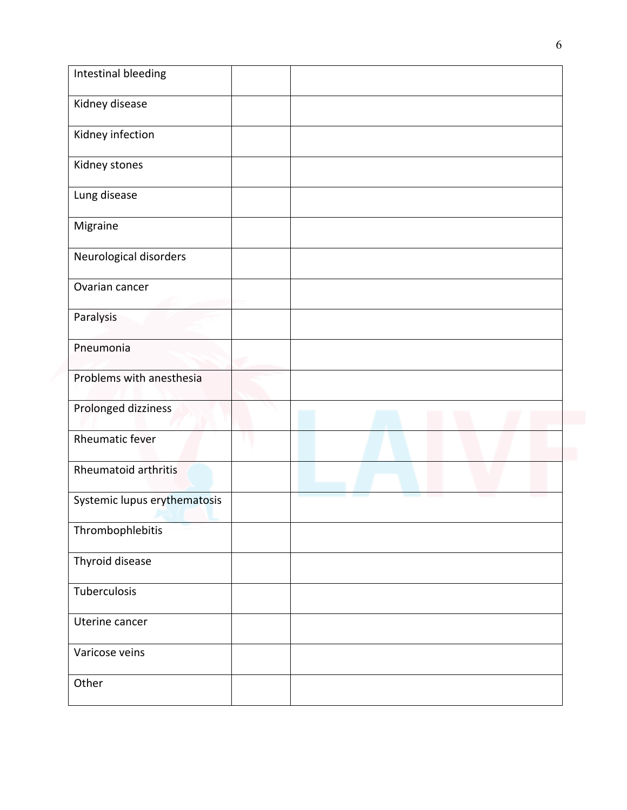| Intestinal bleeding          |  |  |
|------------------------------|--|--|
| Kidney disease               |  |  |
| Kidney infection             |  |  |
| Kidney stones                |  |  |
| Lung disease                 |  |  |
| Migraine                     |  |  |
| Neurological disorders       |  |  |
| Ovarian cancer               |  |  |
| Paralysis                    |  |  |
| Pneumonia                    |  |  |
| Problems with anesthesia     |  |  |
| Prolonged dizziness          |  |  |
| <b>Rheumatic fever</b>       |  |  |
| <b>Rheumatoid arthritis</b>  |  |  |
| Systemic lupus erythematosis |  |  |
| Thrombophlebitis             |  |  |
| Thyroid disease              |  |  |
| Tuberculosis                 |  |  |
| Uterine cancer               |  |  |
| Varicose veins               |  |  |
| Other                        |  |  |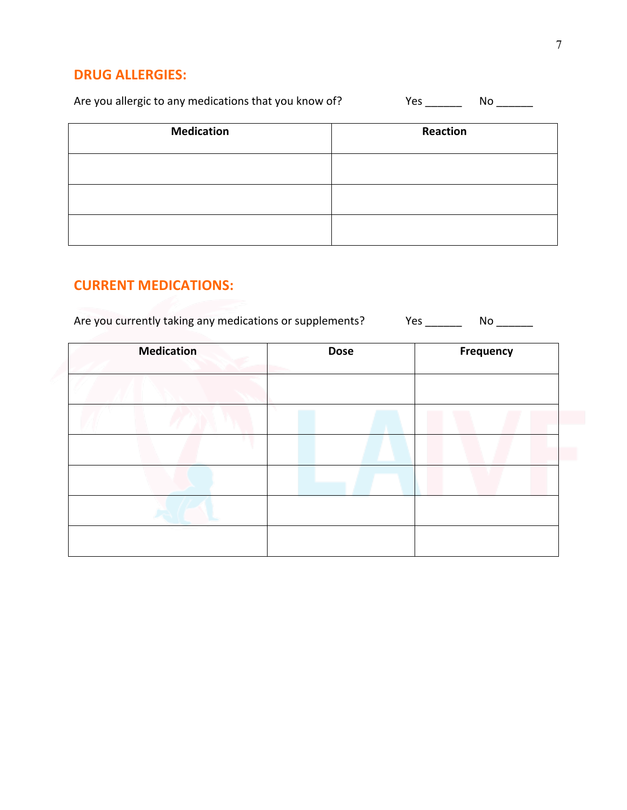#### **DRUG ALLERGIES:**

Are you allergic to any medications that you know of? Yes \_\_\_\_\_\_ No \_\_\_\_\_\_

| <b>Medication</b> | <b>Reaction</b> |
|-------------------|-----------------|
|                   |                 |
|                   |                 |
|                   |                 |

#### **CURRENT MEDICATIONS:**

Are you currently taking any medications or supplements? Yes \_\_\_\_\_\_ No \_\_\_\_\_\_

| <b>Medication</b> | <b>Dose</b> | Frequency |
|-------------------|-------------|-----------|
|                   |             |           |
|                   |             |           |
|                   |             |           |
|                   |             |           |
|                   |             |           |
|                   |             |           |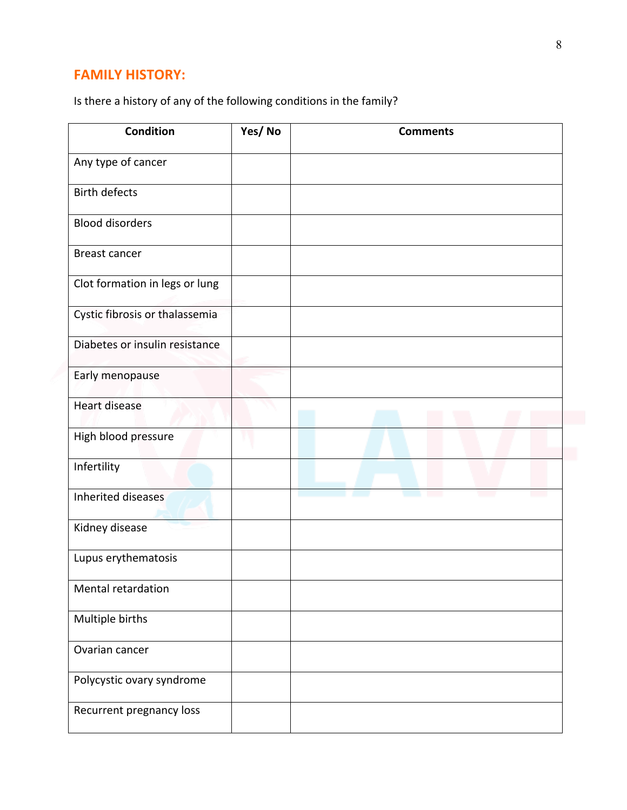#### **FAMILY HISTORY:**

Is there a history of any of the following conditions in the family?

| <b>Condition</b>               | Yes/No | <b>Comments</b> |
|--------------------------------|--------|-----------------|
| Any type of cancer             |        |                 |
| <b>Birth defects</b>           |        |                 |
| <b>Blood disorders</b>         |        |                 |
| Breast cancer                  |        |                 |
| Clot formation in legs or lung |        |                 |
| Cystic fibrosis or thalassemia |        |                 |
| Diabetes or insulin resistance |        |                 |
| Early menopause                |        |                 |
| <b>Heart disease</b>           |        |                 |
| High blood pressure            |        |                 |
| Infertility                    |        |                 |
| Inherited diseases             |        |                 |
| Kidney disease                 |        |                 |
| Lupus erythematosis            |        |                 |
| Mental retardation             |        |                 |
| Multiple births                |        |                 |
| Ovarian cancer                 |        |                 |
| Polycystic ovary syndrome      |        |                 |
| Recurrent pregnancy loss       |        |                 |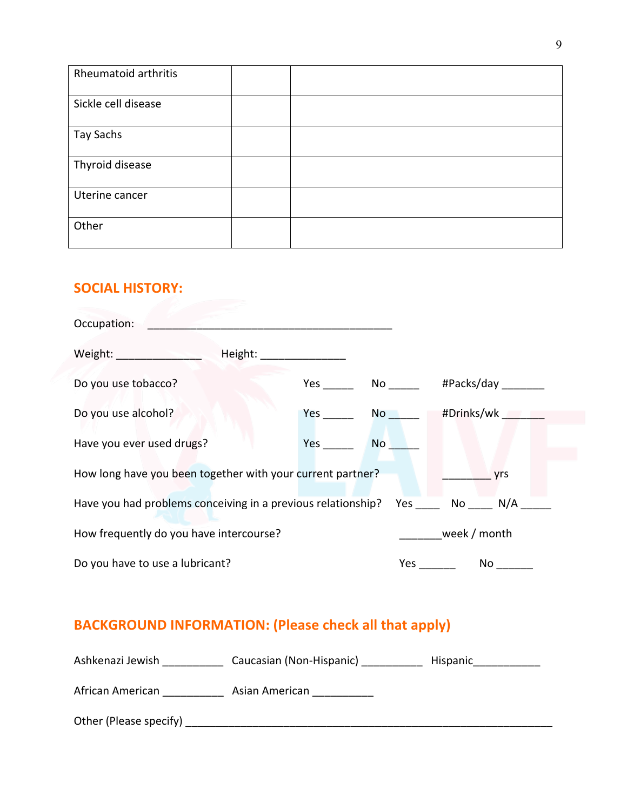| Rheumatoid arthritis |  |
|----------------------|--|
| Sickle cell disease  |  |
| <b>Tay Sachs</b>     |  |
| Thyroid disease      |  |
| Uterine cancer       |  |
| Other                |  |

# **SOCIAL HISTORY:**

| Occupation:                                                             |     |                               |      |  |
|-------------------------------------------------------------------------|-----|-------------------------------|------|--|
| Weight: _____________________                                           |     |                               |      |  |
| Do you use tobacco?                                                     |     |                               |      |  |
| Do you use alcohol?                                                     |     | Yes No #Drinks/wk             |      |  |
| Have you ever used drugs?                                               | Yes | <b>No</b>                     |      |  |
| How long have you been together with your current partner?              |     |                               | yrs  |  |
| Have you had problems conceiving in a previous relationship? Yes No N/A |     |                               |      |  |
| How frequently do you have intercourse?                                 |     | <b>Example 2</b> Week / month |      |  |
| Do you have to use a lubricant?                                         |     | <b>Yes</b>                    | No l |  |

## **BACKGROUND INFORMATION: (Please check all that apply)**

| Ashkenazi Jewish       | Caucasian (Non-Hispanic) | Hispanic |
|------------------------|--------------------------|----------|
| African American       | Asian American           |          |
| Other (Please specify) |                          |          |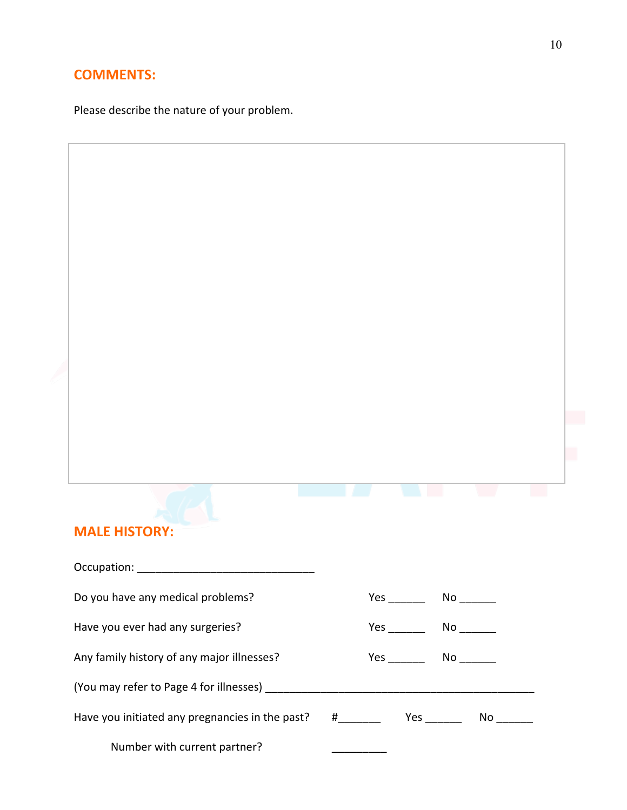#### **COMMENTS:**

**MALE HISTORY:** 

Please describe the nature of your problem.

| Do you have any medical problems?               |               | No and the set of the set of the set of the set of the set of the set of the set of the set of the set of the |
|-------------------------------------------------|---------------|---------------------------------------------------------------------------------------------------------------|
| Have you ever had any surgeries?                |               | No and the set of the set of the set of the set of the set of the set of the set of the set of the set of the |
| Any family history of any major illnesses?      | Yes $\_\_$    | No and the set of the set of the set of the set of the set of the set of the set of the set of the set of the |
|                                                 |               |                                                                                                               |
| Have you initiated any pregnancies in the past? | $\#$ and $\#$ | No l                                                                                                          |
| Number with current partner?                    |               |                                                                                                               |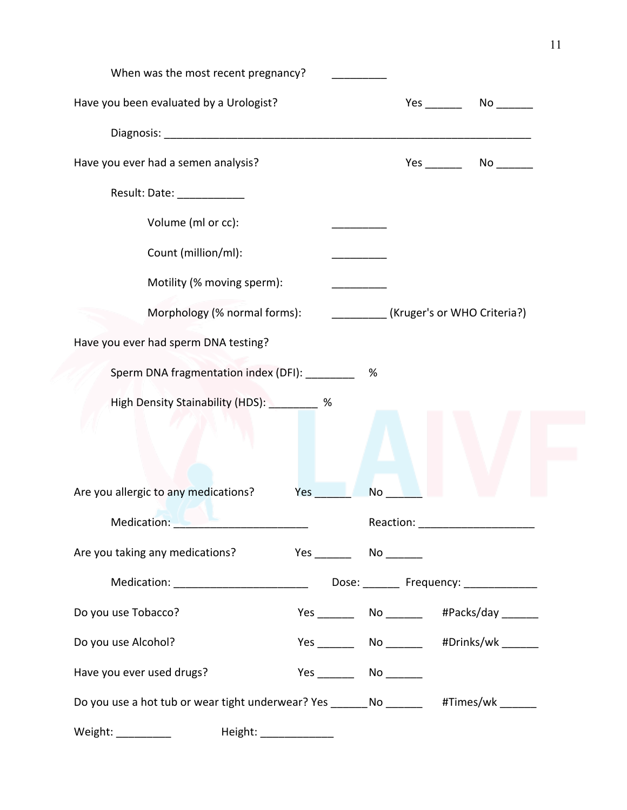| When was the most recent pregnancy?                                                                                                                                                                                            |                                             |
|--------------------------------------------------------------------------------------------------------------------------------------------------------------------------------------------------------------------------------|---------------------------------------------|
| Have you been evaluated by a Urologist?                                                                                                                                                                                        |                                             |
|                                                                                                                                                                                                                                |                                             |
| Have you ever had a semen analysis?                                                                                                                                                                                            | $Yes$ No $\qquad \qquad$ No $\qquad \qquad$ |
| Result: Date: ___________                                                                                                                                                                                                      |                                             |
| Volume (ml or cc):                                                                                                                                                                                                             |                                             |
| Count (million/ml):                                                                                                                                                                                                            |                                             |
| Motility (% moving sperm):                                                                                                                                                                                                     |                                             |
| Morphology (% normal forms):                                                                                                                                                                                                   | (Kruger's or WHO Criteria?)                 |
| Have you ever had sperm DNA testing?                                                                                                                                                                                           |                                             |
| Sperm DNA fragmentation index (DFI): ________                                                                                                                                                                                  | %                                           |
| High Density Stainability (HDS): _________ %                                                                                                                                                                                   |                                             |
|                                                                                                                                                                                                                                |                                             |
|                                                                                                                                                                                                                                |                                             |
| Are you allergic to any medications?<br>Yes                                                                                                                                                                                    | <b>No</b>                                   |
| Medication: New York Production and Medication and Medication and Medication and Medication and Medication and Medication and Medication and Medication and Medication and Medication and Medication and Medication and Medica | Reaction: _______________________           |
| Are you taking any medications?                                                                                                                                                                                                |                                             |
|                                                                                                                                                                                                                                |                                             |
| Do you use Tobacco?                                                                                                                                                                                                            |                                             |
| Do you use Alcohol?                                                                                                                                                                                                            |                                             |
| Have you ever used drugs?                                                                                                                                                                                                      | $Yes$ No $No$                               |
| Do you use a hot tub or wear tight underwear? Yes ________ No ________ #Times/wk ______                                                                                                                                        |                                             |
| Weight: ____________                                                                                                                                                                                                           |                                             |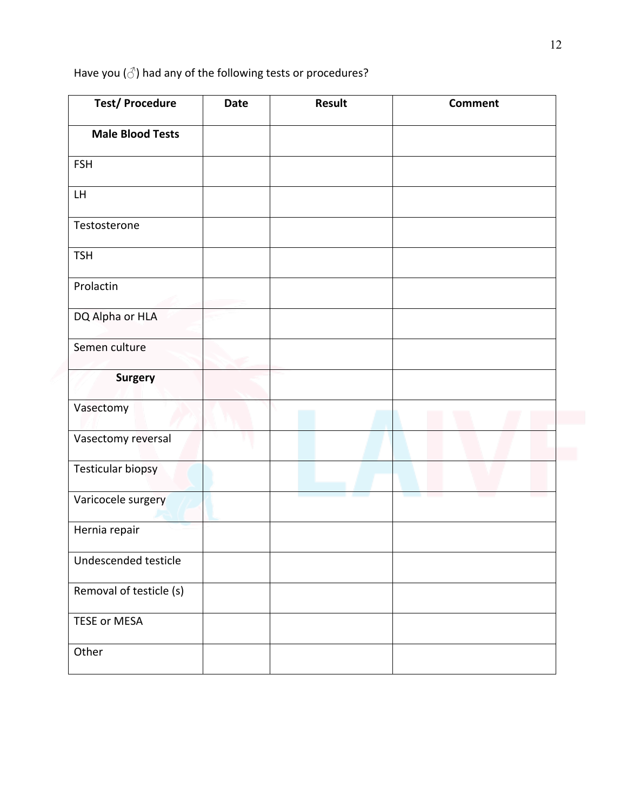Have you  $(\vec{\triangle})$  had any of the following tests or procedures?

| <b>Test/Procedure</b>    | <b>Date</b> | <b>Result</b> | <b>Comment</b> |
|--------------------------|-------------|---------------|----------------|
| <b>Male Blood Tests</b>  |             |               |                |
| <b>FSH</b>               |             |               |                |
| LH                       |             |               |                |
| Testosterone             |             |               |                |
| <b>TSH</b>               |             |               |                |
| Prolactin                |             |               |                |
| DQ Alpha or HLA          |             |               |                |
| Semen culture            |             |               |                |
| <b>Surgery</b>           |             |               |                |
| Vasectomy                |             |               |                |
| Vasectomy reversal       |             |               |                |
| <b>Testicular biopsy</b> |             |               |                |
| Varicocele surgery       |             |               |                |
| Hernia repair            |             |               |                |
| Undescended testicle     |             |               |                |
| Removal of testicle (s)  |             |               |                |
| TESE or MESA             |             |               |                |
| Other                    |             |               |                |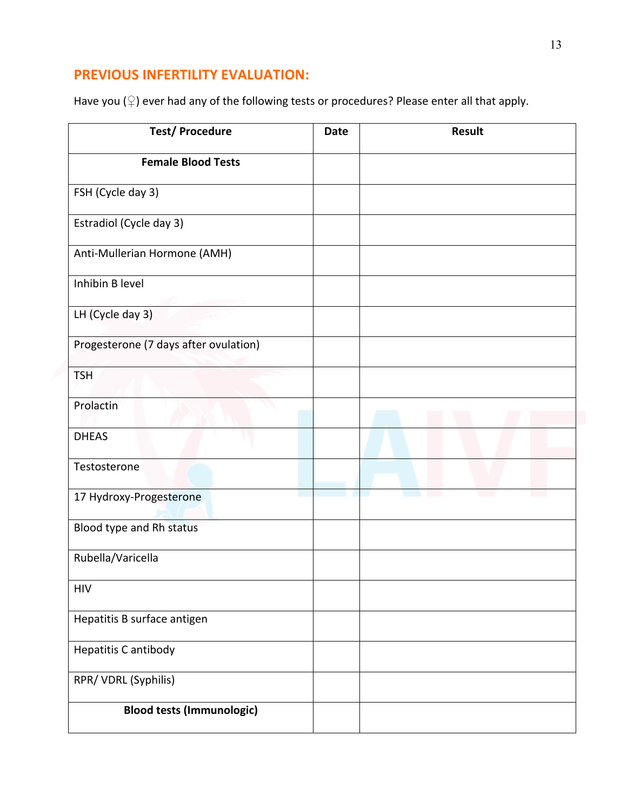#### **PREVIOUS INFERTILITY EVALUATION:**

Have you ( $\circ$ ) ever had any of the following tests or procedures? Please enter all that apply.

| <b>Test/Procedure</b>                 | <b>Date</b> | <b>Result</b> |
|---------------------------------------|-------------|---------------|
| <b>Female Blood Tests</b>             |             |               |
| FSH (Cycle day 3)                     |             |               |
| Estradiol (Cycle day 3)               |             |               |
| Anti-Mullerian Hormone (AMH)          |             |               |
| Inhibin B level                       |             |               |
| LH (Cycle day 3)                      |             |               |
| Progesterone (7 days after ovulation) |             |               |
| <b>TSH</b>                            |             |               |
| Prolactin                             |             |               |
| <b>DHEAS</b>                          |             |               |
| Testosterone                          |             |               |
| 17 Hydroxy-Progesterone               |             |               |
| Blood type and Rh status              |             |               |
| Rubella/Varicella                     |             |               |
| <b>HIV</b>                            |             |               |
| Hepatitis B surface antigen           |             |               |
| Hepatitis C antibody                  |             |               |
| RPR/VDRL (Syphilis)                   |             |               |
| <b>Blood tests (Immunologic)</b>      |             |               |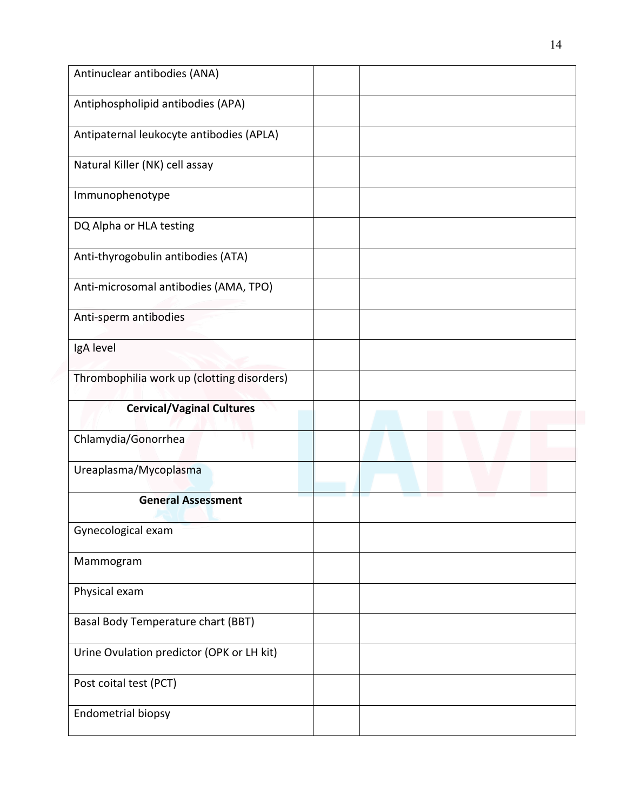| Antinuclear antibodies (ANA)               |  |
|--------------------------------------------|--|
| Antiphospholipid antibodies (APA)          |  |
| Antipaternal leukocyte antibodies (APLA)   |  |
| Natural Killer (NK) cell assay             |  |
| Immunophenotype                            |  |
| DQ Alpha or HLA testing                    |  |
| Anti-thyrogobulin antibodies (ATA)         |  |
| Anti-microsomal antibodies (AMA, TPO)      |  |
| Anti-sperm antibodies                      |  |
| IgA level                                  |  |
| Thrombophilia work up (clotting disorders) |  |
| <b>Cervical/Vaginal Cultures</b>           |  |
| Chlamydia/Gonorrhea                        |  |
| Ureaplasma/Mycoplasma                      |  |
| <b>General Assessment</b>                  |  |
| Gynecological exam                         |  |
| Mammogram                                  |  |
| Physical exam                              |  |
|                                            |  |
| Basal Body Temperature chart (BBT)         |  |
| Urine Ovulation predictor (OPK or LH kit)  |  |
| Post coital test (PCT)                     |  |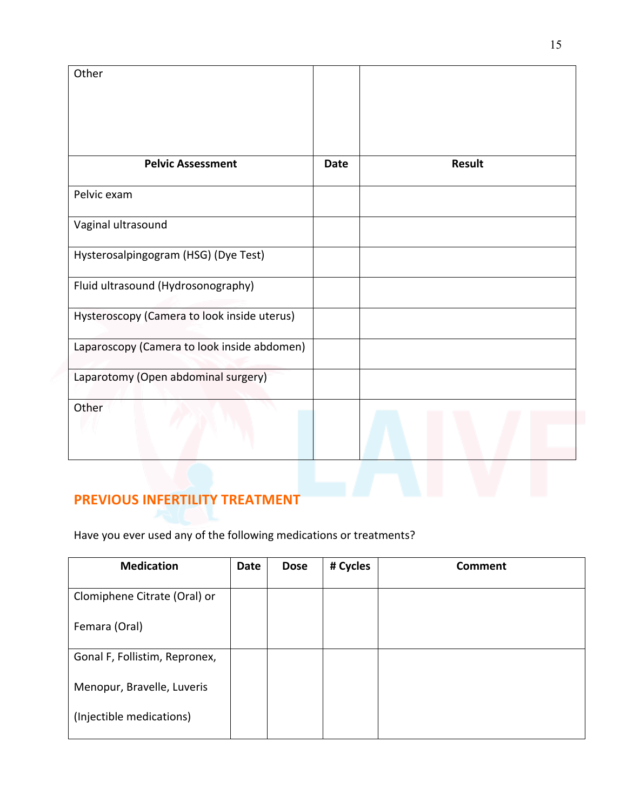| Other                                       |             |        |
|---------------------------------------------|-------------|--------|
| <b>Pelvic Assessment</b>                    | <b>Date</b> | Result |
| Pelvic exam                                 |             |        |
| Vaginal ultrasound                          |             |        |
| Hysterosalpingogram (HSG) (Dye Test)        |             |        |
| Fluid ultrasound (Hydrosonography)          |             |        |
| Hysteroscopy (Camera to look inside uterus) |             |        |
| Laparoscopy (Camera to look inside abdomen) |             |        |
| Laparotomy (Open abdominal surgery)         |             |        |
| Other                                       |             |        |

#### **PREVIOUS INFERTILITY TREATMENT**

Have you ever used any of the following medications or treatments?

| <b>Medication</b>             | <b>Date</b> | <b>Dose</b> | # Cycles | <b>Comment</b> |
|-------------------------------|-------------|-------------|----------|----------------|
|                               |             |             |          |                |
| Clomiphene Citrate (Oral) or  |             |             |          |                |
|                               |             |             |          |                |
| Femara (Oral)                 |             |             |          |                |
|                               |             |             |          |                |
|                               |             |             |          |                |
| Gonal F, Follistim, Repronex, |             |             |          |                |
|                               |             |             |          |                |
| Menopur, Bravelle, Luveris    |             |             |          |                |
|                               |             |             |          |                |
|                               |             |             |          |                |
| (Injectible medications)      |             |             |          |                |
|                               |             |             |          |                |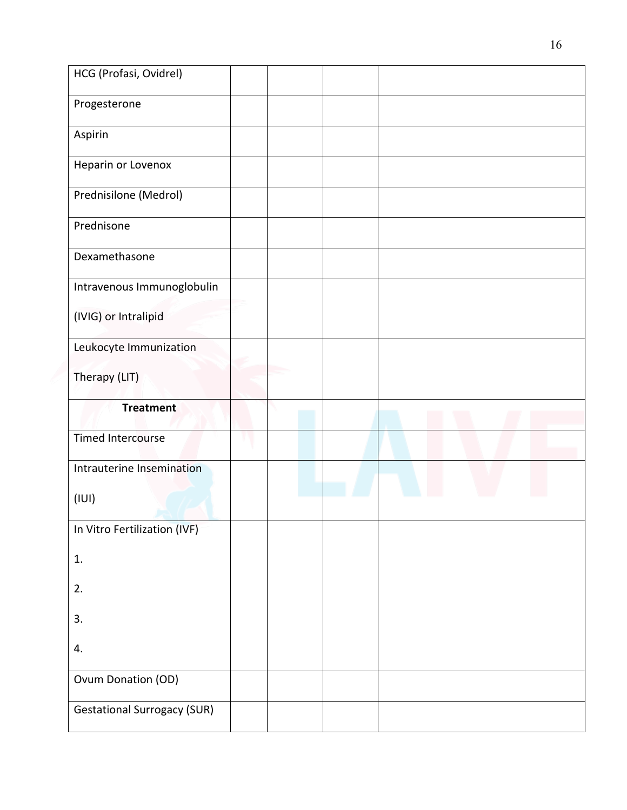| HCG (Profasi, Ovidrel)             |  |  |  |  |  |
|------------------------------------|--|--|--|--|--|
| Progesterone                       |  |  |  |  |  |
| Aspirin                            |  |  |  |  |  |
| Heparin or Lovenox                 |  |  |  |  |  |
| Prednisilone (Medrol)              |  |  |  |  |  |
| Prednisone                         |  |  |  |  |  |
| Dexamethasone                      |  |  |  |  |  |
| Intravenous Immunoglobulin         |  |  |  |  |  |
| (IVIG) or Intralipid               |  |  |  |  |  |
| Leukocyte Immunization             |  |  |  |  |  |
| Therapy (LIT)                      |  |  |  |  |  |
| <b>Treatment</b>                   |  |  |  |  |  |
| <b>Timed Intercourse</b>           |  |  |  |  |  |
| Intrauterine Insemination          |  |  |  |  |  |
| (III)                              |  |  |  |  |  |
| In Vitro Fertilization (IVF)       |  |  |  |  |  |
| 1.                                 |  |  |  |  |  |
| 2.                                 |  |  |  |  |  |
| 3.                                 |  |  |  |  |  |
| 4.                                 |  |  |  |  |  |
| Ovum Donation (OD)                 |  |  |  |  |  |
| <b>Gestational Surrogacy (SUR)</b> |  |  |  |  |  |